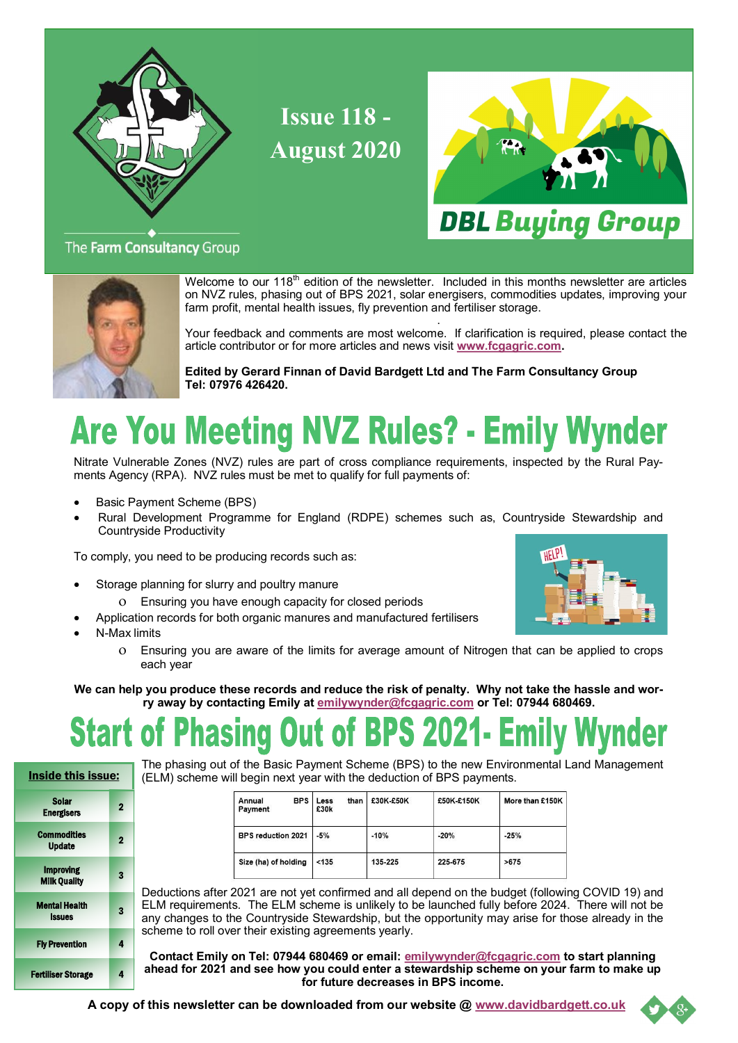

**Issue 118 - August 2020**



### The Farm Consultancy Group



Welcome to our  $118<sup>th</sup>$  edition of the newsletter. Included in this months newsletter are articles on NVZ rules, phasing out of BPS 2021, solar energisers, commodities updates, improving your farm profit, mental health issues, fly prevention and fertiliser storage.

 . Your feedback and comments are most welcome. If clarification is required, please contact the article contributor or for more articles and news visit **[www.fcgagric.com.](http://www.fcgagric.com)** 

**Edited by Gerard Finnan of David Bardgett Ltd and The Farm Consultancy Group Tel: 07976 426420.**

# **Are You Meeting NVZ Rules? - Emily Wynder**

Nitrate Vulnerable Zones (NVZ) rules are part of cross compliance requirements, inspected by the Rural Payments Agency (RPA). NVZ rules must be met to qualify for full payments of:

- Basic Payment Scheme (BPS)
- Rural Development Programme for England (RDPE) schemes such as, Countryside Stewardship and Countryside Productivity

To comply, you need to be producing records such as:

- Storage planning for slurry and poultry manure
	- Ensuring you have enough capacity for closed periods
- Application records for both organic manures and manufactured fertilisers
- N-Max limits
	- Ensuring you are aware of the limits for average amount of Nitrogen that can be applied to crops each year

**We can help you produce these records and reduce the risk of penalty. Why not take the hassle and worry away by contacting Emily at [emilywynder@fcgagric.com](mailto:emilywynder@fcgagric.com) or Tel: 07944 680469.**

#### t of BPS 2021- Emily Wynder **Start of** asınd

Inside this issue: Sola Energisers 2 **Commodities** Update 2 Improving **Milk Quality** 3 Mental Health Issues 3 Fly Prevention 4 Fertiliser Storage 4 The phasing out of the Basic Payment Scheme (BPS) to the new Environmental Land Management (ELM) scheme will begin next year with the deduction of BPS payments.

| Annual<br><b>BPS</b><br>Payment | than<br>Less<br>£30k | £30K £50K | £50K £150K | More than £150K |
|---------------------------------|----------------------|-----------|------------|-----------------|
| <b>BPS reduction 2021</b>       | $-5%$                | $-10%$    | $-20%$     | $-25%$          |
| Size (ha) of holding            | < 135                | 135-225   | 225-675    | >675            |

Deductions after 2021 are not yet confirmed and all depend on the budget (following COVID 19) and ELM requirements. The ELM scheme is unlikely to be launched fully before 2024. There will not be any changes to the Countryside Stewardship, but the opportunity may arise for those already in the scheme to roll over their existing agreements yearly.

**Contact Emily on Tel: 07944 680469 or email: [emilywynder@fcgagric.com](mailto:emilywynder@fcgagric.com) to start planning ahead for 2021 and see how you could enter a stewardship scheme on your farm to make up for future decreases in BPS income.** 

**A copy of this newsletter can be downloaded from our website @ [www.davidbardgett.co.uk](http://www.davidbardgett.co.uk)**



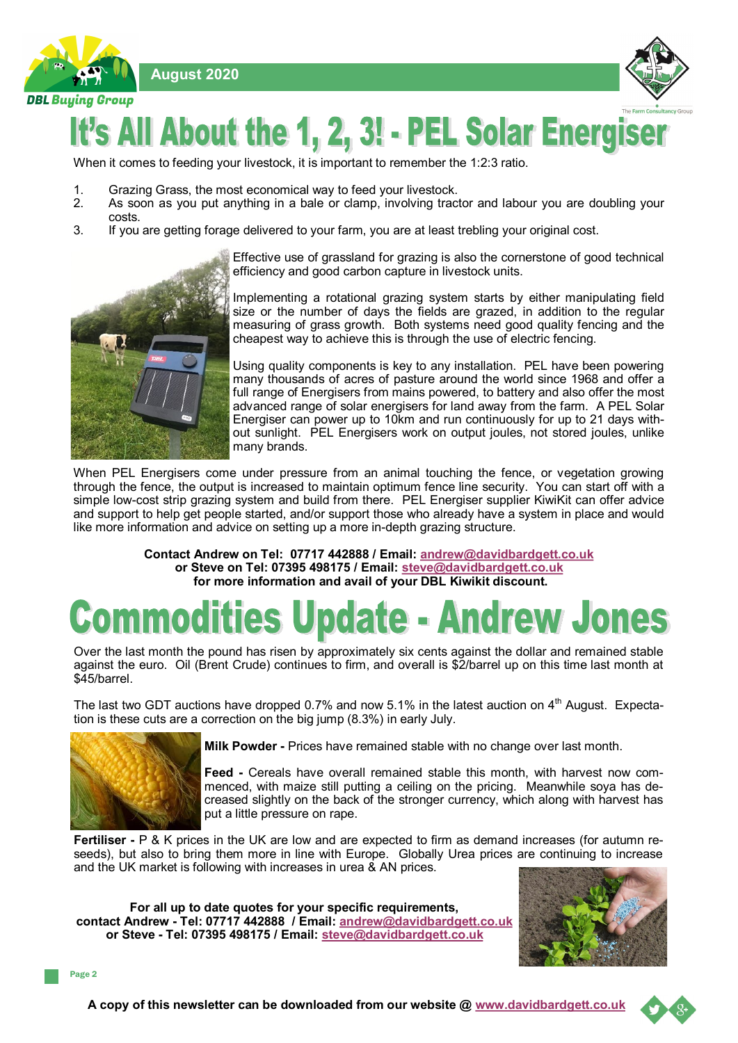



# It's All About the 1, 2, 3! - PEL Solar Energis

When it comes to feeding your livestock, it is important to remember the 1:2:3 ratio.

- 1. Grazing Grass, the most economical way to feed your livestock.<br>2. As soon as you put anything in a bale or clamp, involving trac
- 2. As soon as you put anything in a bale or clamp, involving tractor and labour you are doubling your costs.
- 3. If you are getting forage delivered to your farm, you are at least trebling your original cost.

Effective use of grassland for grazing is also the cornerstone of good technical efficiency and good carbon capture in livestock units.

Implementing a rotational grazing system starts by either manipulating field size or the number of days the fields are grazed, in addition to the regular measuring of grass growth. Both systems need good quality fencing and the cheapest way to achieve this is through the use of electric fencing.

Using quality components is key to any installation. PEL have been powering many thousands of acres of pasture around the world since 1968 and offer a full range of Energisers from mains powered, to battery and also offer the most advanced range of solar energisers for land away from the farm. A PEL Solar Energiser can power up to 10km and run continuously for up to 21 days without sunlight. PEL Energisers work on output joules, not stored joules, unlike many brands.

When PEL Energisers come under pressure from an animal touching the fence, or vegetation growing through the fence, the output is increased to maintain optimum fence line security. You can start off with a simple low-cost strip grazing system and build from there. PEL Energiser supplier KiwiKit can offer advice and support to help get people started, and/or support those who already have a system in place and would like more information and advice on setting up a more in-depth grazing structure.

> **Contact Andrew on Tel: 07717 442888 / Email: [andrew@davidbardgett.co.uk](mailto:andrew@davidbardgett.co.uk) or Steve on Tel: 07395 498175 / Email: [steve@davidbardgett.co.uk](mailto:steve@davidbardgett.co.uk) for more information and avail of your DBL Kiwikit discount.**

# modities Update - Andrew Jones

Over the last month the pound has risen by approximately six cents against the dollar and remained stable against the euro. Oil (Brent Crude) continues to firm, and overall is \$2/barrel up on this time last month at \$45/barrel.

The last two GDT auctions have dropped 0.7% and now 5.1% in the latest auction on 4<sup>th</sup> August. Expectation is these cuts are a correction on the big jump (8.3%) in early July.



**Milk Powder -** Prices have remained stable with no change over last month.

**Feed -** Cereals have overall remained stable this month, with harvest now commenced, with maize still putting a ceiling on the pricing. Meanwhile soya has decreased slightly on the back of the stronger currency, which along with harvest has put a little pressure on rape.

**Fertiliser -** P & K prices in the UK are low and are expected to firm as demand increases (for autumn reseeds), but also to bring them more in line with Europe. Globally Urea prices are continuing to increase and the UK market is following with increases in urea & AN prices.

**For all up to date quotes for your specific requirements, contact Andrew - Tel: 07717 442888 / Email: [andrew@davidbardgett.co.uk](mailto:andrew@davidbardgett.co.uk)  or Steve - Tel: 07395 498175 / Email: [steve@davidbardgett.co.uk](mailto:steve@davidbardgett.co.uk)**



Page 2

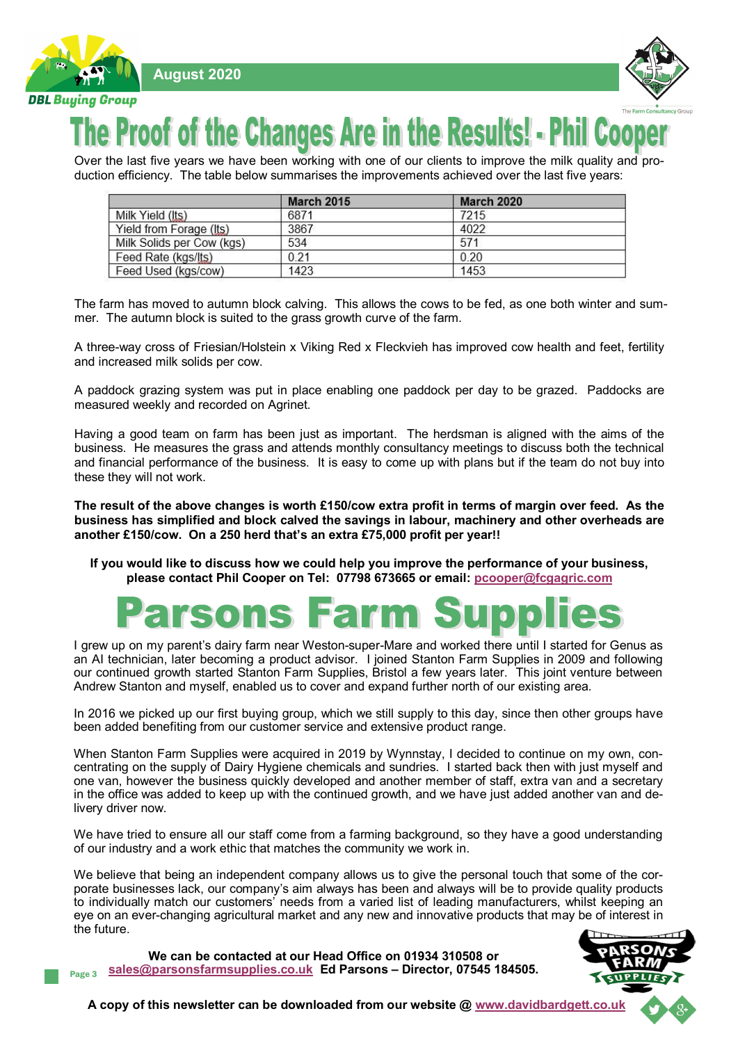

 **August 2020**



### **Proof of the Changes Are in the Results! - Phi**

Over the last five years we have been working with one of our clients to improve the milk quality and production efficiency. The table below summarises the improvements achieved over the last five years:

|                           | <b>March 2015</b> | <b>March 2020</b> |  |
|---------------------------|-------------------|-------------------|--|
| Milk Yield (Its)          | 6871              | 7215              |  |
| Yield from Forage (Its)   | 3867              | 4022              |  |
| Milk Solids per Cow (kgs) | 534               | 571               |  |
| Feed Rate (kgs/lts)       | 0.21              | 0.20              |  |
| Feed Used (kgs/cow)       | 1423              | 1453              |  |

The farm has moved to autumn block calving. This allows the cows to be fed, as one both winter and summer. The autumn block is suited to the grass growth curve of the farm.

A three-way cross of Friesian/Holstein x Viking Red x Fleckvieh has improved cow health and feet, fertility and increased milk solids per cow.

A paddock grazing system was put in place enabling one paddock per day to be grazed. Paddocks are measured weekly and recorded on Agrinet.

Having a good team on farm has been just as important. The herdsman is aligned with the aims of the business. He measures the grass and attends monthly consultancy meetings to discuss both the technical and financial performance of the business. It is easy to come up with plans but if the team do not buy into these they will not work.

**The result of the above changes is worth £150/cow extra profit in terms of margin over feed. As the business has simplified and block calved the savings in labour, machinery and other overheads are another £150/cow. On a 250 herd that's an extra £75,000 profit per year!!**

**If you would like to discuss how we could help you improve the performance of your business, please contact Phil Cooper on Tel: 07798 673665 or email: [pcooper@fcgagric.com](mailto:pcooper@fcgagric.com)**

# **arsons Farm S**

I grew up on my parent's dairy farm near Weston-super-Mare and worked there until I started for Genus as an AI technician, later becoming a product advisor. I joined Stanton Farm Supplies in 2009 and following our continued growth started Stanton Farm Supplies, Bristol a few years later. This joint venture between Andrew Stanton and myself, enabled us to cover and expand further north of our existing area.

In 2016 we picked up our first buying group, which we still supply to this day, since then other groups have been added benefiting from our customer service and extensive product range.

When Stanton Farm Supplies were acquired in 2019 by Wynnstay, I decided to continue on my own, concentrating on the supply of Dairy Hygiene chemicals and sundries. I started back then with just myself and one van, however the business quickly developed and another member of staff, extra van and a secretary in the office was added to keep up with the continued growth, and we have just added another van and delivery driver now.

We have tried to ensure all our staff come from a farming background, so they have a good understanding of our industry and a work ethic that matches the community we work in.

We believe that being an independent company allows us to give the personal touch that some of the corporate businesses lack, our company's aim always has been and always will be to provide quality products to individually match our customers' needs from a varied list of leading manufacturers, whilst keeping an eye on an ever-changing agricultural market and any new and innovative products that may be of interest in the future.

Page 3 **We can be contacted at our Head Office on 01934 310508 or [sales@parsonsfarmsupplies.co.uk](mailto:sales@parsonsfarmsupplies.co.uk) Ed Parsons – Director, 07545 184505.**



**A copy of this newsletter can be downloaded from our website @ [www.davidbardgett.co.uk](http://www.davidbardgett.co.uk)**